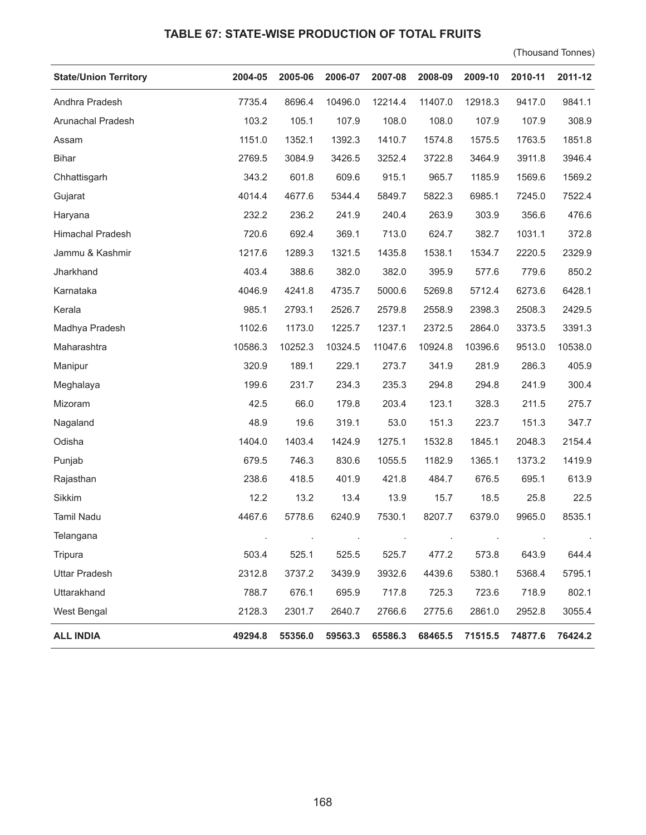## **TABLE 67: STATE-WISE PRODUCTION OF TOTAL FRUITS**

(Thousand Tonnes)

| <b>State/Union Territory</b> | 2004-05 | 2005-06 | 2006-07 | 2007-08 | 2008-09 | 2009-10 | 2010-11 | 2011-12 |
|------------------------------|---------|---------|---------|---------|---------|---------|---------|---------|
| Andhra Pradesh               | 7735.4  | 8696.4  | 10496.0 | 12214.4 | 11407.0 | 12918.3 | 9417.0  | 9841.1  |
| Arunachal Pradesh            | 103.2   | 105.1   | 107.9   | 108.0   | 108.0   | 107.9   | 107.9   | 308.9   |
| Assam                        | 1151.0  | 1352.1  | 1392.3  | 1410.7  | 1574.8  | 1575.5  | 1763.5  | 1851.8  |
| <b>Bihar</b>                 | 2769.5  | 3084.9  | 3426.5  | 3252.4  | 3722.8  | 3464.9  | 3911.8  | 3946.4  |
| Chhattisgarh                 | 343.2   | 601.8   | 609.6   | 915.1   | 965.7   | 1185.9  | 1569.6  | 1569.2  |
| Gujarat                      | 4014.4  | 4677.6  | 5344.4  | 5849.7  | 5822.3  | 6985.1  | 7245.0  | 7522.4  |
| Haryana                      | 232.2   | 236.2   | 241.9   | 240.4   | 263.9   | 303.9   | 356.6   | 476.6   |
| Himachal Pradesh             | 720.6   | 692.4   | 369.1   | 713.0   | 624.7   | 382.7   | 1031.1  | 372.8   |
| Jammu & Kashmir              | 1217.6  | 1289.3  | 1321.5  | 1435.8  | 1538.1  | 1534.7  | 2220.5  | 2329.9  |
| Jharkhand                    | 403.4   | 388.6   | 382.0   | 382.0   | 395.9   | 577.6   | 779.6   | 850.2   |
| Karnataka                    | 4046.9  | 4241.8  | 4735.7  | 5000.6  | 5269.8  | 5712.4  | 6273.6  | 6428.1  |
| Kerala                       | 985.1   | 2793.1  | 2526.7  | 2579.8  | 2558.9  | 2398.3  | 2508.3  | 2429.5  |
| Madhya Pradesh               | 1102.6  | 1173.0  | 1225.7  | 1237.1  | 2372.5  | 2864.0  | 3373.5  | 3391.3  |
| Maharashtra                  | 10586.3 | 10252.3 | 10324.5 | 11047.6 | 10924.8 | 10396.6 | 9513.0  | 10538.0 |
| Manipur                      | 320.9   | 189.1   | 229.1   | 273.7   | 341.9   | 281.9   | 286.3   | 405.9   |
| Meghalaya                    | 199.6   | 231.7   | 234.3   | 235.3   | 294.8   | 294.8   | 241.9   | 300.4   |
| Mizoram                      | 42.5    | 66.0    | 179.8   | 203.4   | 123.1   | 328.3   | 211.5   | 275.7   |
| Nagaland                     | 48.9    | 19.6    | 319.1   | 53.0    | 151.3   | 223.7   | 151.3   | 347.7   |
| Odisha                       | 1404.0  | 1403.4  | 1424.9  | 1275.1  | 1532.8  | 1845.1  | 2048.3  | 2154.4  |
| Punjab                       | 679.5   | 746.3   | 830.6   | 1055.5  | 1182.9  | 1365.1  | 1373.2  | 1419.9  |
| Rajasthan                    | 238.6   | 418.5   | 401.9   | 421.8   | 484.7   | 676.5   | 695.1   | 613.9   |
| Sikkim                       | 12.2    | 13.2    | 13.4    | 13.9    | 15.7    | 18.5    | 25.8    | 22.5    |
| Tamil Nadu                   | 4467.6  | 5778.6  | 6240.9  | 7530.1  | 8207.7  | 6379.0  | 9965.0  | 8535.1  |
| Telangana                    |         |         |         |         |         |         |         |         |
| Tripura                      | 503.4   | 525.1   | 525.5   | 525.7   | 477.2   | 573.8   | 643.9   | 644.4   |
| <b>Uttar Pradesh</b>         | 2312.8  | 3737.2  | 3439.9  | 3932.6  | 4439.6  | 5380.1  | 5368.4  | 5795.1  |
| Uttarakhand                  | 788.7   | 676.1   | 695.9   | 717.8   | 725.3   | 723.6   | 718.9   | 802.1   |
| West Bengal                  | 2128.3  | 2301.7  | 2640.7  | 2766.6  | 2775.6  | 2861.0  | 2952.8  | 3055.4  |
| <b>ALL INDIA</b>             | 49294.8 | 55356.0 | 59563.3 | 65586.3 | 68465.5 | 71515.5 | 74877.6 | 76424.2 |